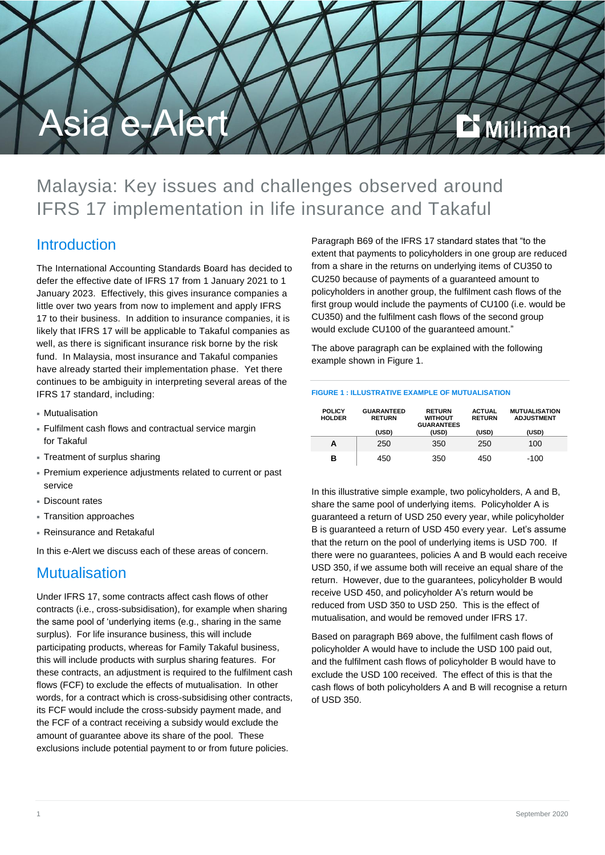

# Malaysia: Key issues and challenges observed around IFRS 17 implementation in life insurance and Takaful

### Introduction

The International Accounting Standards Board has decided to defer the effective date of IFRS 17 from 1 January 2021 to 1 January 2023. Effectively, this gives insurance companies a little over two years from now to implement and apply IFRS 17 to their business. In addition to insurance companies, it is likely that IFRS 17 will be applicable to Takaful companies as well, as there is significant insurance risk borne by the risk fund. In Malaysia, most insurance and Takaful companies have already started their implementation phase. Yet there continues to be ambiguity in interpreting several areas of the IFRS 17 standard, including:

- Mutualisation
- Fulfilment cash flows and contractual service margin for Takaful
- Treatment of surplus sharing
- Premium experience adjustments related to current or past service
- Discount rates
- Transition approaches
- Reinsurance and Retakaful

In this e-Alert we discuss each of these areas of concern.

## **Mutualisation**

Under IFRS 17, some contracts affect cash flows of other contracts (i.e., cross-subsidisation), for example when sharing the same pool of 'underlying items (e.g., sharing in the same surplus). For life insurance business, this will include participating products, whereas for Family Takaful business, this will include products with surplus sharing features. For these contracts, an adjustment is required to the fulfilment cash flows (FCF) to exclude the effects of mutualisation. In other words, for a contract which is cross-subsidising other contracts, its FCF would include the cross-subsidy payment made, and the FCF of a contract receiving a subsidy would exclude the amount of guarantee above its share of the pool. These exclusions include potential payment to or from future policies.

Paragraph B69 of the IFRS 17 standard states that "to the extent that payments to policyholders in one group are reduced from a share in the returns on underlying items of CU350 to CU250 because of payments of a guaranteed amount to policyholders in another group, the fulfilment cash flows of the first group would include the payments of CU100 (i.e. would be CU350) and the fulfilment cash flows of the second group would exclude CU100 of the guaranteed amount."

The above paragraph can be explained with the following example shown in Figure 1.

#### **FIGURE 1 : ILLUSTRATIVE EXAMPLE OF MUTUALISATION**

| <b>POLICY</b><br><b>HOLDER</b> | <b>GUARANTEED</b><br><b>RETURN</b><br>(USD) | <b>RETURN</b><br><b>WITHOUT</b><br><b>GUARANTEES</b><br>(USD) | <b>ACTUAL</b><br><b>RETURN</b><br>(USD) | <b>MUTUALISATION</b><br><b>ADJUSTMENT</b><br>(USD) |
|--------------------------------|---------------------------------------------|---------------------------------------------------------------|-----------------------------------------|----------------------------------------------------|
|                                |                                             |                                                               |                                         |                                                    |
| А                              | 250                                         | 350                                                           | 250                                     | 100                                                |
| в                              | 450                                         | 350                                                           | 450                                     | -100                                               |

In this illustrative simple example, two policyholders, A and B, share the same pool of underlying items. Policyholder A is guaranteed a return of USD 250 every year, while policyholder B is guaranteed a return of USD 450 every year. Let's assume that the return on the pool of underlying items is USD 700. If there were no guarantees, policies A and B would each receive USD 350, if we assume both will receive an equal share of the return. However, due to the guarantees, policyholder B would receive USD 450, and policyholder A's return would be reduced from USD 350 to USD 250. This is the effect of mutualisation, and would be removed under IFRS 17.

Based on paragraph B69 above, the fulfilment cash flows of policyholder A would have to include the USD 100 paid out, and the fulfilment cash flows of policyholder B would have to exclude the USD 100 received. The effect of this is that the cash flows of both policyholders A and B will recognise a return of USD 350.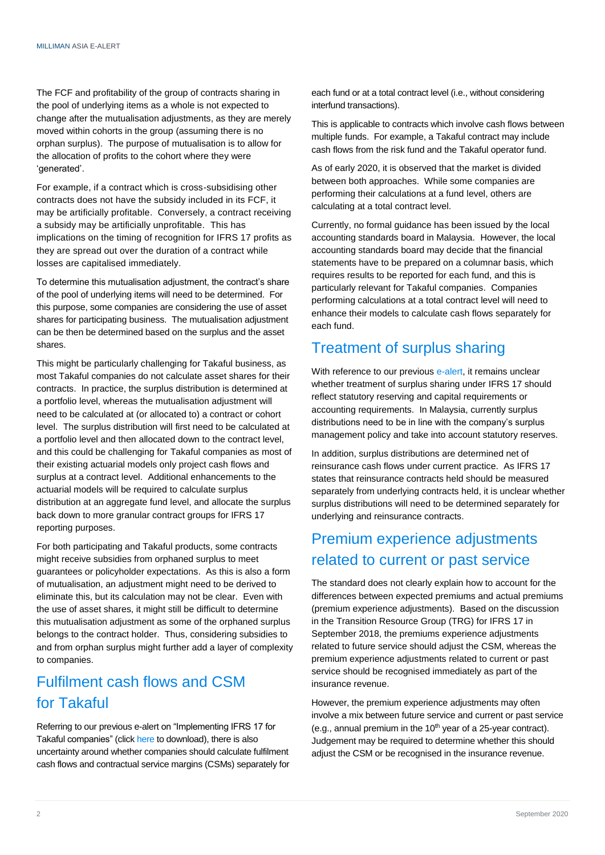The FCF and profitability of the group of contracts sharing in the pool of underlying items as a whole is not expected to change after the mutualisation adjustments, as they are merely moved within cohorts in the group (assuming there is no orphan surplus). The purpose of mutualisation is to allow for the allocation of profits to the cohort where they were 'generated'.

For example, if a contract which is cross-subsidising other contracts does not have the subsidy included in its FCF, it may be artificially profitable. Conversely, a contract receiving a subsidy may be artificially unprofitable. This has implications on the timing of recognition for IFRS 17 profits as they are spread out over the duration of a contract while losses are capitalised immediately.

To determine this mutualisation adjustment, the contract's share of the pool of underlying items will need to be determined. For this purpose, some companies are considering the use of asset shares for participating business. The mutualisation adjustment can be then be determined based on the surplus and the asset shares.

This might be particularly challenging for Takaful business, as most Takaful companies do not calculate asset shares for their contracts. In practice, the surplus distribution is determined at a portfolio level, whereas the mutualisation adjustment will need to be calculated at (or allocated to) a contract or cohort level. The surplus distribution will first need to be calculated at a portfolio level and then allocated down to the contract level, and this could be challenging for Takaful companies as most of their existing actuarial models only project cash flows and surplus at a contract level. Additional enhancements to the actuarial models will be required to calculate surplus distribution at an aggregate fund level, and allocate the surplus back down to more granular contract groups for IFRS 17 reporting purposes.

For both participating and Takaful products, some contracts might receive subsidies from orphaned surplus to meet guarantees or policyholder expectations. As this is also a form of mutualisation, an adjustment might need to be derived to eliminate this, but its calculation may not be clear. Even with the use of asset shares, it might still be difficult to determine this mutualisation adjustment as some of the orphaned surplus belongs to the contract holder. Thus, considering subsidies to and from orphan surplus might further add a layer of complexity to companies.

# Fulfilment cash flows and CSM for Takaful

Referring to our previous e-alert on "Implementing IFRS 17 for Takaful companies" (click [here](https://www.milliman.com/en/insight/implementing-ifrs-17-for-takaful-companies) to download), there is also uncertainty around whether companies should calculate fulfilment cash flows and contractual service margins (CSMs) separately for each fund or at a total contract level (i.e., without considering interfund transactions).

This is applicable to contracts which involve cash flows between multiple funds. For example, a Takaful contract may include cash flows from the risk fund and the Takaful operator fund.

As of early 2020, it is observed that the market is divided between both approaches. While some companies are performing their calculations at a fund level, others are calculating at a total contract level.

Currently, no formal guidance has been issued by the local accounting standards board in Malaysia. However, the local accounting standards board may decide that the financial statements have to be prepared on a columnar basis, which requires results to be reported for each fund, and this is particularly relevant for Takaful companies. Companies performing calculations at a total contract level will need to enhance their models to calculate cash flows separately for each fund.

# Treatment of surplus sharing

With reference to our previou[s e-alert,](https://www.milliman.com/en/insight/implementing-ifrs-17-for-takaful-companies) it remains unclear whether treatment of surplus sharing under IFRS 17 should reflect statutory reserving and capital requirements or accounting requirements. In Malaysia, currently surplus distributions need to be in line with the company's surplus management policy and take into account statutory reserves.

In addition, surplus distributions are determined net of reinsurance cash flows under current practice. As IFRS 17 states that reinsurance contracts held should be measured separately from underlying contracts held, it is unclear whether surplus distributions will need to be determined separately for underlying and reinsurance contracts.

# Premium experience adjustments related to current or past service

The standard does not clearly explain how to account for the differences between expected premiums and actual premiums (premium experience adjustments). Based on the discussion in the Transition Resource Group (TRG) for IFRS 17 in September 2018, the premiums experience adjustments related to future service should adjust the CSM, whereas the premium experience adjustments related to current or past service should be recognised immediately as part of the insurance revenue.

However, the premium experience adjustments may often involve a mix between future service and current or past service (e.g., annual premium in the  $10<sup>th</sup>$  year of a 25-year contract). Judgement may be required to determine whether this should adjust the CSM or be recognised in the insurance revenue.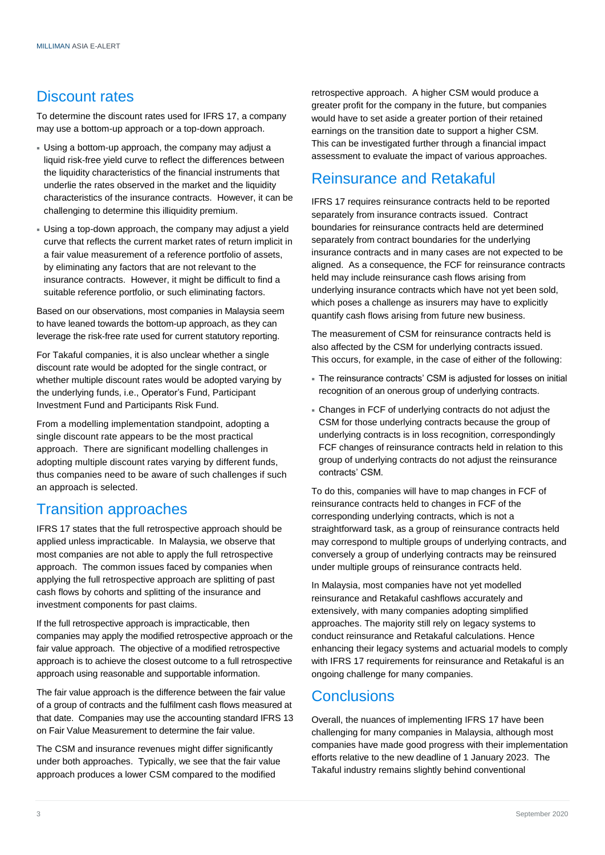## Discount rates

To determine the discount rates used for IFRS 17, a company may use a bottom-up approach or a top-down approach.

- Using a bottom-up approach, the company may adjust a liquid risk-free yield curve to reflect the differences between the liquidity characteristics of the financial instruments that underlie the rates observed in the market and the liquidity characteristics of the insurance contracts. However, it can be challenging to determine this illiquidity premium.
- Using a top-down approach, the company may adjust a yield curve that reflects the current market rates of return implicit in a fair value measurement of a reference portfolio of assets, by eliminating any factors that are not relevant to the insurance contracts. However, it might be difficult to find a suitable reference portfolio, or such eliminating factors.

Based on our observations, most companies in Malaysia seem to have leaned towards the bottom-up approach, as they can leverage the risk-free rate used for current statutory reporting.

For Takaful companies, it is also unclear whether a single discount rate would be adopted for the single contract, or whether multiple discount rates would be adopted varying by the underlying funds, i.e., Operator's Fund, Participant Investment Fund and Participants Risk Fund.

From a modelling implementation standpoint, adopting a single discount rate appears to be the most practical approach. There are significant modelling challenges in adopting multiple discount rates varying by different funds, thus companies need to be aware of such challenges if such an approach is selected.

## Transition approaches

IFRS 17 states that the full retrospective approach should be applied unless impracticable. In Malaysia, we observe that most companies are not able to apply the full retrospective approach. The common issues faced by companies when applying the full retrospective approach are splitting of past cash flows by cohorts and splitting of the insurance and investment components for past claims.

If the full retrospective approach is impracticable, then companies may apply the modified retrospective approach or the fair value approach. The objective of a modified retrospective approach is to achieve the closest outcome to a full retrospective approach using reasonable and supportable information.

The fair value approach is the difference between the fair value of a group of contracts and the fulfilment cash flows measured at that date. Companies may use the accounting standard IFRS 13 on Fair Value Measurement to determine the fair value.

The CSM and insurance revenues might differ significantly under both approaches. Typically, we see that the fair value approach produces a lower CSM compared to the modified

retrospective approach. A higher CSM would produce a greater profit for the company in the future, but companies would have to set aside a greater portion of their retained earnings on the transition date to support a higher CSM. This can be investigated further through a financial impact assessment to evaluate the impact of various approaches.

# Reinsurance and Retakaful

IFRS 17 requires reinsurance contracts held to be reported separately from insurance contracts issued. Contract boundaries for reinsurance contracts held are determined separately from contract boundaries for the underlying insurance contracts and in many cases are not expected to be aligned. As a consequence, the FCF for reinsurance contracts held may include reinsurance cash flows arising from underlying insurance contracts which have not yet been sold, which poses a challenge as insurers may have to explicitly quantify cash flows arising from future new business.

The measurement of CSM for reinsurance contracts held is also affected by the CSM for underlying contracts issued. This occurs, for example, in the case of either of the following:

- The reinsurance contracts' CSM is adjusted for losses on initial recognition of an onerous group of underlying contracts.
- Changes in FCF of underlying contracts do not adjust the CSM for those underlying contracts because the group of underlying contracts is in loss recognition, correspondingly FCF changes of reinsurance contracts held in relation to this group of underlying contracts do not adjust the reinsurance contracts' CSM.

To do this, companies will have to map changes in FCF of reinsurance contracts held to changes in FCF of the corresponding underlying contracts, which is not a straightforward task, as a group of reinsurance contracts held may correspond to multiple groups of underlying contracts, and conversely a group of underlying contracts may be reinsured under multiple groups of reinsurance contracts held.

In Malaysia, most companies have not yet modelled reinsurance and Retakaful cashflows accurately and extensively, with many companies adopting simplified approaches. The majority still rely on legacy systems to conduct reinsurance and Retakaful calculations. Hence enhancing their legacy systems and actuarial models to comply with IFRS 17 requirements for reinsurance and Retakaful is an ongoing challenge for many companies.

## **Conclusions**

Overall, the nuances of implementing IFRS 17 have been challenging for many companies in Malaysia, although most companies have made good progress with their implementation efforts relative to the new deadline of 1 January 2023. The Takaful industry remains slightly behind conventional